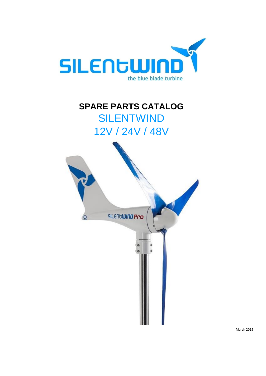

# **SPARE PARTS CATALOG** SILENTWIND 12V / 24V / 48V



March 2019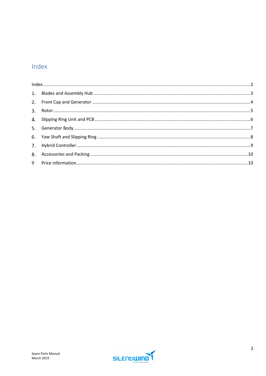#### <span id="page-1-0"></span>Index

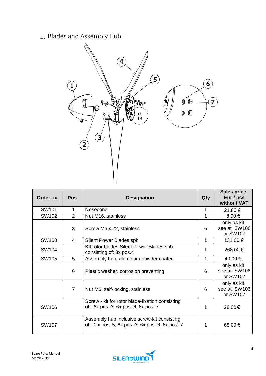## <span id="page-2-0"></span>1. Blades and Assembly Hub



| Order- nr.   | Pos.           | <b>Designation</b>                                                                             | Qty. | <b>Sales price</b><br>Eur / pcs<br>without VAT |
|--------------|----------------|------------------------------------------------------------------------------------------------|------|------------------------------------------------|
| SW101        | 1              | Nosecone                                                                                       | 1    | 21.80 €                                        |
| SW102        | 2              | Nut M16, stainless                                                                             | 1    | 8.90 €                                         |
|              | 3              | Screw M6 x 22, stainless                                                                       | 6    | only as kit<br>see at SW106<br>or SW107        |
| SW103        | 4              | Silent Power Blades spb                                                                        | 1    | 131.00 €                                       |
| SW104        |                | Kit rotor blades Silent Power Blades spb<br>consisting of: 3x pos.4                            | 1    | 268.00 €                                       |
| SW105        | 5              | Assembly hub, aluminum powder coated                                                           |      | 40.00 €                                        |
|              | 6              | Plastic washer, corrosion preventing                                                           | 6    | only as kit<br>see at SW106<br>or SW107        |
|              | $\overline{7}$ | Nut M6, self-locking, stainless                                                                | 6    | only as kit<br>see at SW106<br>or SW107        |
| SW106        |                | Screw - kit for rotor blade-fixation consisting<br>of: 6x pos. 3, 6x pos. 6, 6x pos. 7         | 1    | 28.00€                                         |
| <b>SW107</b> |                | Assembly hub inclusive screw-kit consisting<br>of: 1 x pos. 5, 6x pos. 3, 6x pos. 6, 6x pos. 7 |      | 68.00 €                                        |

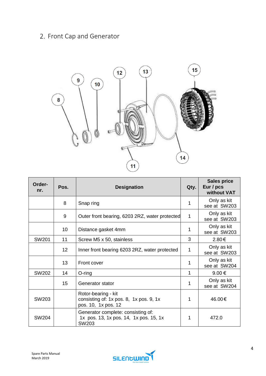## <span id="page-3-0"></span>2. Front Cap and Generator



| Order-<br>nr. | Pos.            | <b>Designation</b>                                                                    | Qty. | <b>Sales price</b><br>Eur / pcs<br>without VAT |
|---------------|-----------------|---------------------------------------------------------------------------------------|------|------------------------------------------------|
|               | 8               | Snap ring                                                                             | 1    | Only as kit<br>see at SW203                    |
|               | 9               | Outer front bearing, 6203 2RZ, water protected                                        | 1    | Only as kit<br>see at SW203                    |
|               | 10              | Distance gasket 4mm                                                                   |      | Only as kit<br>see at SW203                    |
| SW201         | 11              | Screw M5 x 50, stainless                                                              | 3    | 2.80€                                          |
|               | 12 <sub>2</sub> | Inner front bearing 6203 2RZ, water protected                                         | 1    | Only as kit<br>see at SW203                    |
|               | 13              | Front cover                                                                           |      | Only as kit<br>see at SW204                    |
| <b>SW202</b>  | 14              | $O$ -ring                                                                             | 1    | 9.00€                                          |
|               | 15              | Generator stator                                                                      | 1    | Only as kit<br>see at SW204                    |
| SW203         |                 | Rotor-bearing - kit<br>consisting of: 1x pos. 8, 1x pos. 9, 1x<br>pos. 10, 1x pos. 12 | 1    | 46.00€                                         |
| <b>SW204</b>  |                 | Generator complete: consisting of:<br>1x pos. 13, 1x pos. 14, 1x pos. 15, 1x<br>SW203 | 1    | 472.0                                          |

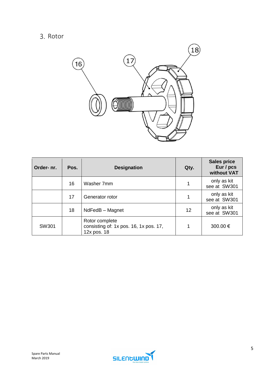#### <span id="page-4-0"></span>3. Rotor



| Order- nr. | Pos. | <b>Designation</b>                                                      | Qty. | <b>Sales price</b><br>Eur / pcs<br>without VAT |
|------------|------|-------------------------------------------------------------------------|------|------------------------------------------------|
|            | 16   | Washer 7mm                                                              |      | only as kit<br>see at SW301                    |
|            | 17   | Generator rotor                                                         | 1    | only as kit<br>see at SW301                    |
|            | 18   | NdFedB - Magnet                                                         | 12   | only as kit<br>see at SW301                    |
| SW301      |      | Rotor complete<br>consisting of: 1x pos. 16, 1x pos. 17,<br>12x pos. 18 | 1    | 300.00 €                                       |

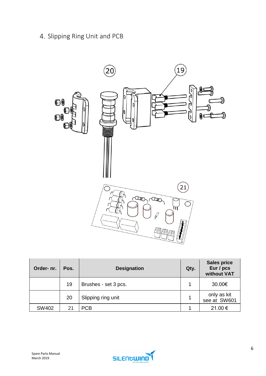<span id="page-5-0"></span>4. Slipping Ring Unit and PCB



| Order- nr. | Pos. | <b>Designation</b>   | Qty. | <b>Sales price</b><br>Eur / pcs<br>without VAT |
|------------|------|----------------------|------|------------------------------------------------|
|            | 19   | Brushes - set 3 pcs. |      | 30.00€                                         |
|            | 20   | Slipping ring unit   |      | only as kit<br>see at SW601                    |
| SW402      | 21   | <b>PCB</b>           |      | 21.00 €                                        |

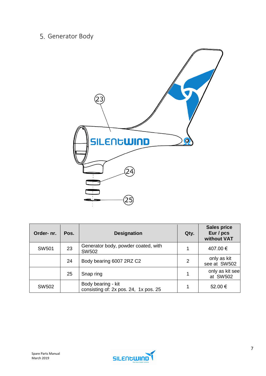## <span id="page-6-0"></span>5. Generator Body



| Order- nr.   | Pos. | <b>Designation</b>                                          | Qty. | <b>Sales price</b><br>Eur / pcs<br>without VAT |
|--------------|------|-------------------------------------------------------------|------|------------------------------------------------|
| <b>SW501</b> | 23   | Generator body, powder coated, with<br><b>SW502</b>         | 1    | 407.00 €                                       |
|              | 24   | Body bearing 6007 2RZ C2                                    | 2    | only as kit<br>see at SW502                    |
|              | 25   | Snap ring                                                   |      | only as kit see<br>at SW502                    |
| <b>SW502</b> |      | Body bearing - kit<br>consisting of: 2x pos. 24, 1x pos. 25 |      | 52.00 €                                        |

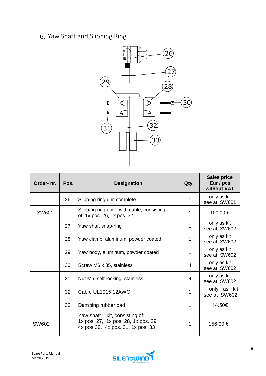## <span id="page-7-0"></span>Yaw Shaft and Slipping Ring



| Order- nr.   | Pos. | <b>Designation</b>                                                                                          | Qty. | <b>Sales price</b><br>Eur / pcs<br>without VAT |
|--------------|------|-------------------------------------------------------------------------------------------------------------|------|------------------------------------------------|
|              | 26   | Slipping ring unit complete                                                                                 |      | only as kit<br>see at SW601                    |
| <b>SW601</b> |      | Slipping ring unit - with cable, consisting<br>of: 1x pos. 26, 1x pos. 32                                   | 1    | 100.00 €                                       |
|              | 27   | Yaw shaft snap-ring                                                                                         |      | only as kit<br>see at SW602                    |
|              | 28   | Yaw clamp, aluminum, powder coated                                                                          |      | only as kit<br>see at SW602                    |
|              | 29   | Yaw body, aluminum, powder coated                                                                           |      | only as kit<br>see at SW602                    |
|              | 30   | Screw M6 x 35, stainless                                                                                    | 4    | only as kit<br>see at SW602                    |
|              | 31   | Nut M6, self-locking, stainless                                                                             | 4    | only as kit<br>see at SW602                    |
|              | 32   | Cable UL1015 12AWG                                                                                          |      | only as kit<br>see at SW602                    |
|              | 33   | Damping rubber pad                                                                                          |      | 14.50€                                         |
| SW602        |      | Yaw shaft – kit, consisting of:<br>1x pos. 27, 1x pos. 28, 1x pos. 29,<br>4x pos.30, 4x pos. 31, 1x pos. 33 | 1    | 156.00 €                                       |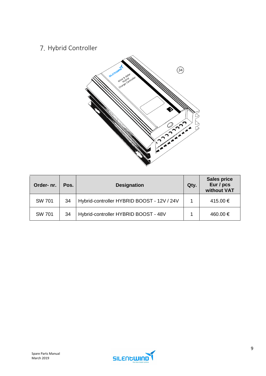## <span id="page-8-0"></span>7. Hybrid Controller



| Order- nr.    | Pos. | <b>Designation</b>                         | Qty. | <b>Sales price</b><br>Eur / pcs<br>without VAT |
|---------------|------|--------------------------------------------|------|------------------------------------------------|
| <b>SW 701</b> | 34   | Hybrid-controller HYBRID BOOST - 12V / 24V |      | 415.00 €                                       |
| <b>SW 701</b> | 34   | Hybrid-controller HYBRID BOOST - 48V       |      | 460.00 €                                       |

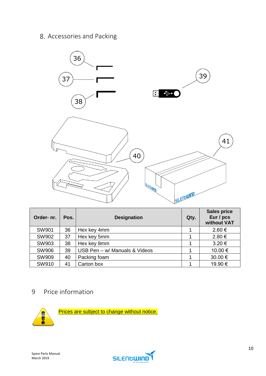#### <span id="page-9-0"></span>8. Accessories and Packing



| Order- nr.   | Pos. | <b>Designation</b>            | Qty. | <b>Sales price</b><br>Eur / pcs<br>without VAT |
|--------------|------|-------------------------------|------|------------------------------------------------|
| SW901        | 36   | Hex key 4mm                   |      | $2.60 \in$                                     |
| <b>SW902</b> | 37   | Hex key 5mm                   |      | 2.80€                                          |
| SW903        | 38   | Hex key 8mm                   |      | $3.20 \in$                                     |
| <b>SW906</b> | 39   | USB Pen - w/ Manuals & Videos |      | 10.00 €                                        |
| <b>SW909</b> | 40   | Packing foam                  |      | 30.00 €                                        |
| SW910        | 41   | Carton box                    |      | 19.90 €                                        |

#### <span id="page-9-1"></span>9 Price information



Prices are subject to change without notice.